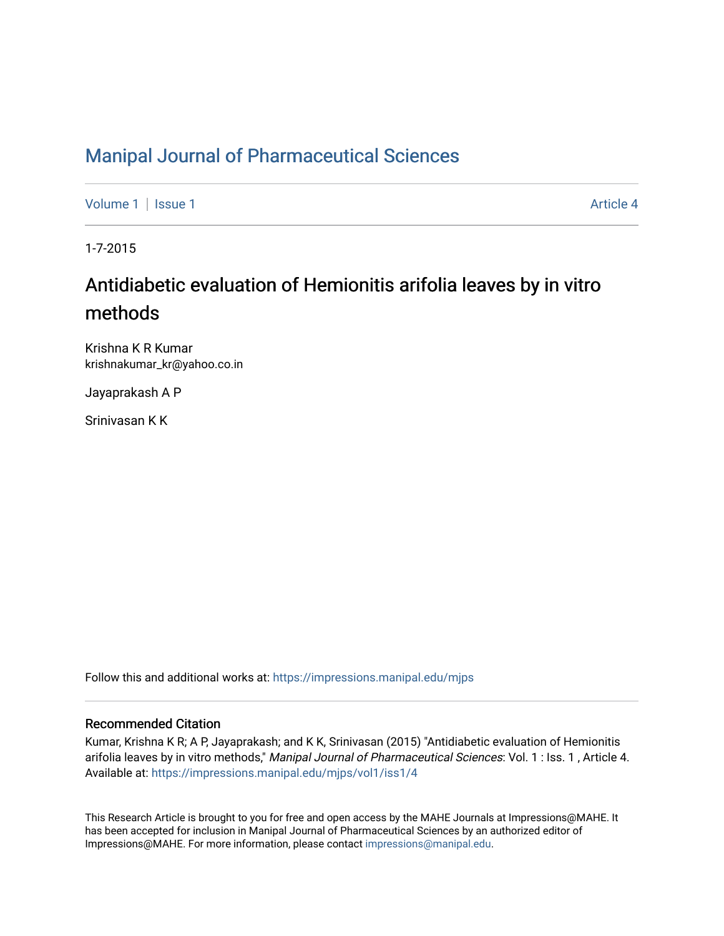# [Manipal Journal of Pharmaceutical Sciences](https://impressions.manipal.edu/mjps)

[Volume 1](https://impressions.manipal.edu/mjps/vol1) | [Issue 1](https://impressions.manipal.edu/mjps/vol1/iss1) Article 4

1-7-2015

# Antidiabetic evaluation of Hemionitis arifolia leaves by in vitro methods

Krishna K R Kumar krishnakumar\_kr@yahoo.co.in

Jayaprakash A P

Srinivasan K K

Follow this and additional works at: [https://impressions.manipal.edu/mjps](https://impressions.manipal.edu/mjps?utm_source=impressions.manipal.edu%2Fmjps%2Fvol1%2Fiss1%2F4&utm_medium=PDF&utm_campaign=PDFCoverPages)

## Recommended Citation

Kumar, Krishna K R; A P, Jayaprakash; and K K, Srinivasan (2015) "Antidiabetic evaluation of Hemionitis arifolia leaves by in vitro methods," Manipal Journal of Pharmaceutical Sciences: Vol. 1 : Iss. 1, Article 4. Available at: [https://impressions.manipal.edu/mjps/vol1/iss1/4](https://impressions.manipal.edu/mjps/vol1/iss1/4?utm_source=impressions.manipal.edu%2Fmjps%2Fvol1%2Fiss1%2F4&utm_medium=PDF&utm_campaign=PDFCoverPages)

This Research Article is brought to you for free and open access by the MAHE Journals at Impressions@MAHE. It has been accepted for inclusion in Manipal Journal of Pharmaceutical Sciences by an authorized editor of Impressions@MAHE. For more information, please contact [impressions@manipal.edu](mailto:impressions@manipal.edu).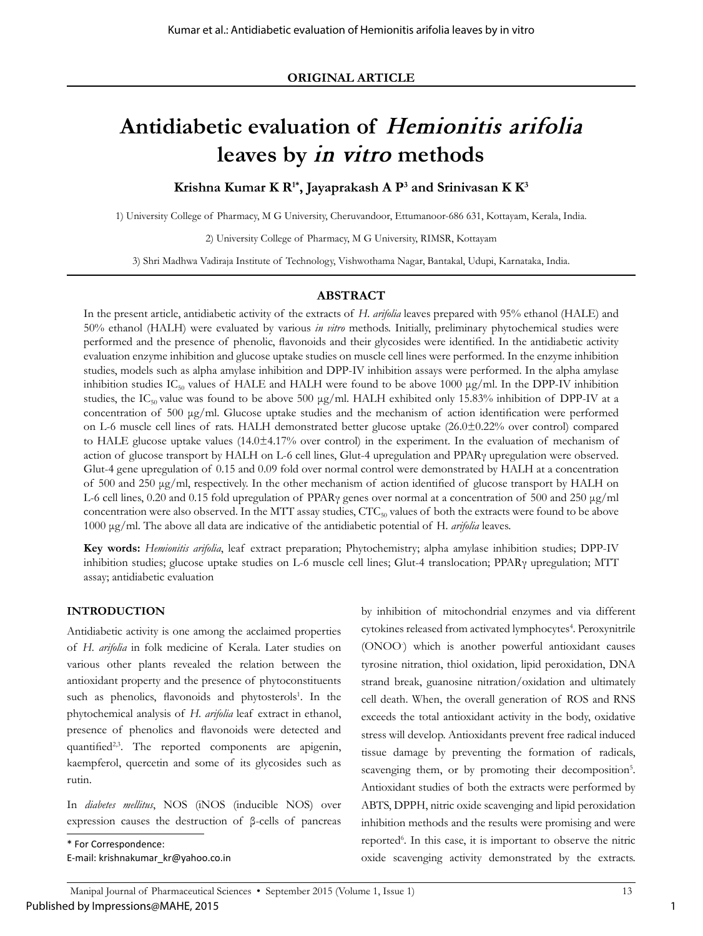# **Antidiabetic evaluation of** *Hemionitis arifolia* **leaves by** *in vitro* **methods**

**Krishna Kumar K R1\*, Jayaprakash A P3 and Srinivasan K K3**

1) University College of Pharmacy, M G University, Cheruvandoor, Ettumanoor-686 631, Kottayam, Kerala, India.

2) University College of Pharmacy, M G University, RIMSR, Kottayam

3) Shri Madhwa Vadiraja Institute of Technology, Vishwothama Nagar, Bantakal, Udupi, Karnataka, India.

## **ABSTRACT**

In the present article, antidiabetic activity of the extracts of *H. arifolia* leaves prepared with 95% ethanol (HALE) and 50% ethanol (HALH) were evaluated by various *in vitro* methods. Initially, preliminary phytochemical studies were performed and the presence of phenolic, flavonoids and their glycosides were identified. In the antidiabetic activity evaluation enzyme inhibition and glucose uptake studies on muscle cell lines were performed. In the enzyme inhibition studies, models such as alpha amylase inhibition and DPP-IV inhibition assays were performed. In the alpha amylase inhibition studies IC<sub>50</sub> values of HALE and HALH were found to be above 1000  $\mu$ g/ml. In the DPP-IV inhibition studies, the IC<sub>50</sub> value was found to be above 500  $\mu$ g/ml. HALH exhibited only 15.83% inhibition of DPP-IV at a concentration of 500 μg/ml. Glucose uptake studies and the mechanism of action identification were performed on L-6 muscle cell lines of rats. HALH demonstrated better glucose uptake (26.0±0.22% over control) compared to HALE glucose uptake values (14.0±4.17% over control) in the experiment. In the evaluation of mechanism of action of glucose transport by HALH on L-6 cell lines, Glut-4 upregulation and PPARγ upregulation were observed. Glut-4 gene upregulation of 0.15 and 0.09 fold over normal control were demonstrated by HALH at a concentration of 500 and 250 μg/ml, respectively. In the other mechanism of action identified of glucose transport by HALH on L-6 cell lines, 0.20 and 0.15 fold upregulation of PPARγ genes over normal at a concentration of 500 and 250 μg/ml concentration were also observed. In the MTT assay studies,  $CTC_{50}$  values of both the extracts were found to be above 1000 μg/ml. The above all data are indicative of the antidiabetic potential of H*. arifolia* leaves.

**Key words:** *Hemionitis arifolia*, leaf extract preparation; Phytochemistry; alpha amylase inhibition studies; DPP-IV inhibition studies; glucose uptake studies on L-6 muscle cell lines; Glut-4 translocation; PPARγ upregulation; MTT assay; antidiabetic evaluation

## **INTRODUCTION**

Antidiabetic activity is one among the acclaimed properties of *H. arifolia* in folk medicine of Kerala. Later studies on various other plants revealed the relation between the antioxidant property and the presence of phytoconstituents such as phenolics, flavonoids and phytosterols<sup>1</sup>. In the phytochemical analysis of *H. arifolia* leaf extract in ethanol, presence of phenolics and flavonoids were detected and quantified<sup>2,3</sup>. The reported components are apigenin, kaempferol, quercetin and some of its glycosides such as rutin.

In *diabetes mellitus*, NOS (iNOS (inducible NOS) over expression causes the destruction of β-cells of pancreas

\* For Correspondence:

by inhibition of mitochondrial enzymes and via different cytokines released from activated lymphocytes<sup>4</sup>. Peroxynitrile (ONOO<sup>-</sup>) which is another powerful antioxidant causes tyrosine nitration, thiol oxidation, lipid peroxidation, DNA strand break, guanosine nitration/oxidation and ultimately cell death. When, the overall generation of ROS and RNS exceeds the total antioxidant activity in the body, oxidative stress will develop. Antioxidants prevent free radical induced tissue damage by preventing the formation of radicals, scavenging them, or by promoting their decomposition<sup>5</sup>. Antioxidant studies of both the extracts were performed by ABTS, DPPH, nitric oxide scavenging and lipid peroxidation inhibition methods and the results were promising and were reported<sup>6</sup>. In this case, it is important to observe the nitric oxide scavenging activity demonstrated by the extracts.

1

E-mail: krishnakumar\_kr@yahoo.co.in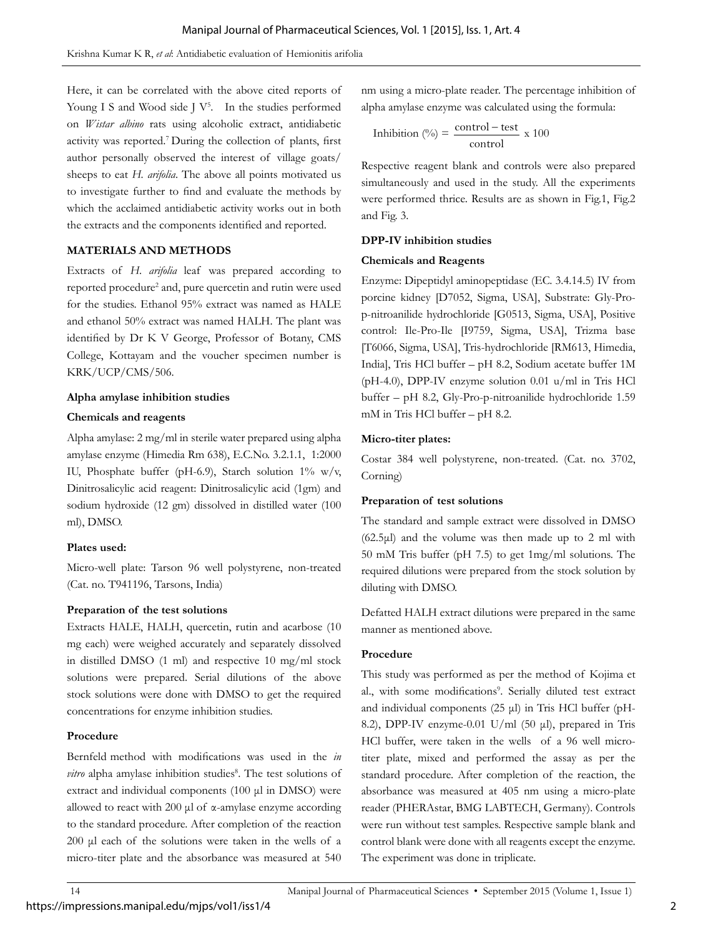Here, it can be correlated with the above cited reports of Young I S and Wood side  $J V<sup>5</sup>$ . In the studies performed on *Wistar albino* rats using alcoholic extract, antidiabetic activity was reported.7 During the collection of plants, first author personally observed the interest of village goats/ sheeps to eat *H. arifolia*. The above all points motivated us to investigate further to find and evaluate the methods by which the acclaimed antidiabetic activity works out in both the extracts and the components identified and reported.

## **MATERIALS AND METHODS**

Extracts of *H. arifolia* leaf was prepared according to reported procedure<sup>2</sup> and, pure quercetin and rutin were used for the studies. Ethanol 95% extract was named as HALE and ethanol 50% extract was named HALH. The plant was identified by Dr K V George, Professor of Botany, CMS College, Kottayam and the voucher specimen number is KRK/UCP/CMS/506.

## **Alpha amylase inhibition studies**

## **Chemicals and reagents**

Alpha amylase: 2 mg/ml in sterile water prepared using alpha amylase enzyme (Himedia Rm 638), E.C.No. 3.2.1.1, 1:2000 IU, Phosphate buffer (pH-6.9), Starch solution 1% w/v, Dinitrosalicylic acid reagent: Dinitrosalicylic acid (1gm) and sodium hydroxide (12 gm) dissolved in distilled water (100 ml), DMSO.

## **Plates used:**

Micro-well plate: Tarson 96 well polystyrene, non-treated (Cat. no. T941196, Tarsons, India)

## **Preparation of the test solutions**

https://impressions.manipal.edu/mjps/vol1/iss1/4

Extracts HALE, HALH, quercetin, rutin and acarbose (10 mg each) were weighed accurately and separately dissolved in distilled DMSO (1 ml) and respective 10 mg/ml stock solutions were prepared. Serial dilutions of the above stock solutions were done with DMSO to get the required concentrations for enzyme inhibition studies.

## **Procedure**

Bernfeld method with modifications was used in the *in*  vitro alpha amylase inhibition studies<sup>8</sup>. The test solutions of extract and individual components (100 μl in DMSO) were allowed to react with 200 μl of α-amylase enzyme according to the standard procedure. After completion of the reaction 200 μl each of the solutions were taken in the wells of a micro-titer plate and the absorbance was measured at 540

nm using a micro-plate reader. The percentage inhibition of alpha amylase enzyme was calculated using the formula:

Inhibition (
$$
\degree
$$
) =  $\frac{\text{control-test}}{\text{control}}$  x 100

Respective reagent blank and controls were also prepared simultaneously and used in the study. All the experiments were performed thrice. Results are as shown in Fig.1, Fig.2 and Fig. 3.

## **DPP-IV inhibition studies**

## **Chemicals and Reagents**

Enzyme: Dipeptidyl aminopeptidase (EC. 3.4.14.5) IV from porcine kidney [D7052, Sigma, USA], Substrate: Gly-Prop-nitroanilide hydrochloride [G0513, Sigma, USA], Positive control: Ile-Pro-Ile [I9759, Sigma, USA], Trizma base [T6066, Sigma, USA], Tris-hydrochloride [RM613, Himedia, India], Tris HCl buffer – pH 8.2, Sodium acetate buffer 1M (pH-4.0), DPP-IV enzyme solution 0.01 u/ml in Tris HCl buffer – pH 8.2, Gly-Pro-p-nitroanilide hydrochloride 1.59 mM in Tris HCl buffer – pH 8.2.

## **Micro-titer plates:**

Costar 384 well polystyrene, non-treated. (Cat. no. 3702, Corning)

## **Preparation of test solutions**

The standard and sample extract were dissolved in DMSO  $(62.5\mu l)$  and the volume was then made up to 2 ml with 50 mM Tris buffer (pH 7.5) to get 1mg/ml solutions. The required dilutions were prepared from the stock solution by diluting with DMSO.

Defatted HALH extract dilutions were prepared in the same manner as mentioned above.

## **Procedure**

This study was performed as per the method of Kojima et al., with some modifications<sup>9</sup>. Serially diluted test extract and individual components (25 μl) in Tris HCl buffer (pH-8.2), DPP-IV enzyme-0.01 U/ml (50 μl), prepared in Tris HCl buffer, were taken in the wells of a 96 well microtiter plate, mixed and performed the assay as per the standard procedure. After completion of the reaction, the absorbance was measured at 405 nm using a micro-plate reader (PHERAstar, BMG LABTECH, Germany). Controls were run without test samples. Respective sample blank and control blank were done with all reagents except the enzyme. The experiment was done in triplicate.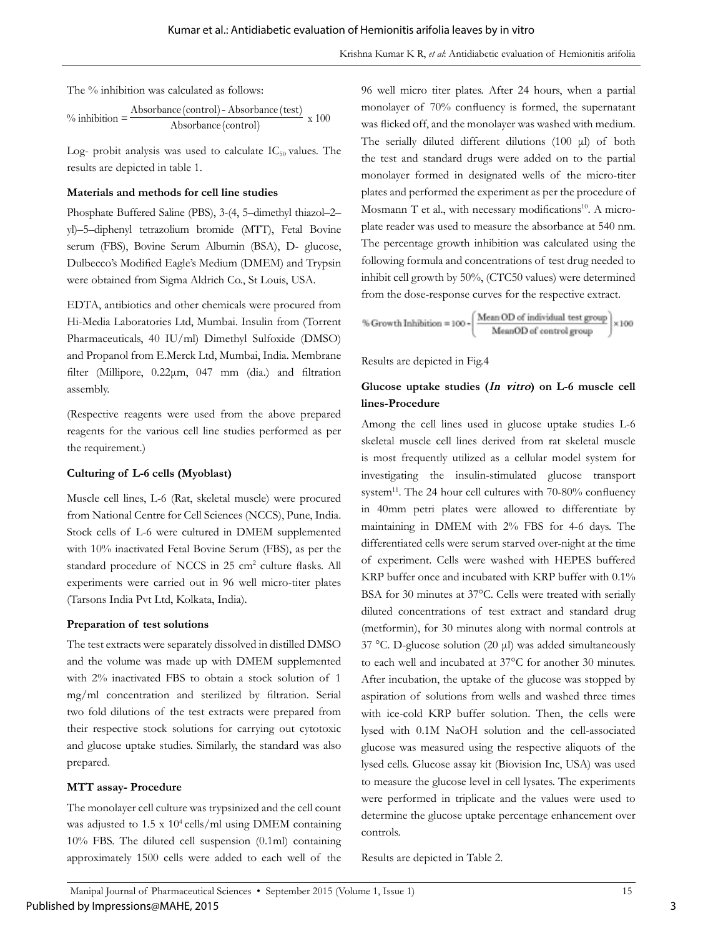The % inhibition was calculated as follows:

<sup>9</sup>inhibition = 
$$
\frac{\text{Absorbance (control) - Absorbance (test)} }{\text{Absorbance (control)}}
$$
x 100

Log- probit analysis was used to calculate  $IC_{50}$  values. The results are depicted in table 1.

## **Materials and methods for cell line studies**

Phosphate Buffered Saline (PBS), 3-(4, 5–dimethyl thiazol–2– yl)–5–diphenyl tetrazolium bromide (MTT), Fetal Bovine serum (FBS), Bovine Serum Albumin (BSA), D- glucose, Dulbecco's Modified Eagle's Medium (DMEM) and Trypsin were obtained from Sigma Aldrich Co., St Louis, USA.

EDTA, antibiotics and other chemicals were procured from Hi-Media Laboratories Ltd, Mumbai. Insulin from (Torrent Pharmaceuticals, 40 IU/ml) Dimethyl Sulfoxide (DMSO) and Propanol from E.Merck Ltd, Mumbai, India. Membrane filter (Millipore, 0.22μm, 047 mm (dia.) and filtration assembly.

(Respective reagents were used from the above prepared reagents for the various cell line studies performed as per the requirement.)

## **Culturing of L-6 cells (Myoblast)**

Muscle cell lines, L-6 (Rat, skeletal muscle) were procured from National Centre for Cell Sciences (NCCS), Pune, India. Stock cells of L-6 were cultured in DMEM supplemented with 10% inactivated Fetal Bovine Serum (FBS), as per the standard procedure of NCCS in 25 cm<sup>2</sup> culture flasks. All experiments were carried out in 96 well micro-titer plates (Tarsons India Pvt Ltd, Kolkata, India).

## **Preparation of test solutions**

The test extracts were separately dissolved in distilled DMSO and the volume was made up with DMEM supplemented with 2% inactivated FBS to obtain a stock solution of 1 mg/ml concentration and sterilized by filtration. Serial two fold dilutions of the test extracts were prepared from their respective stock solutions for carrying out cytotoxic and glucose uptake studies. Similarly, the standard was also prepared.

## **MTT assay- Procedure**

The monolayer cell culture was trypsinized and the cell count was adjusted to  $1.5 \times 10^4$  cells/ml using DMEM containing 10% FBS. The diluted cell suspension (0.1ml) containing approximately 1500 cells were added to each well of the

96 well micro titer plates. After 24 hours, when a partial monolayer of 70% confluency is formed, the supernatant was flicked off, and the monolayer was washed with medium. The serially diluted different dilutions (100 μl) of both the test and standard drugs were added on to the partial monolayer formed in designated wells of the micro-titer plates and performed the experiment as per the procedure of Mosmann T et al., with necessary modifications<sup>10</sup>. A microplate reader was used to measure the absorbance at 540 nm. The percentage growth inhibition was calculated using the following formula and concentrations of test drug needed to inhibit cell growth by 50%, (CTC50 values) were determined from the dose-response curves for the respective extract.

$$
\% \text{ Growth Inhibition} = 100 \cdot \left(\frac{\text{Mean OD of individual test group}}{\text{MeanOD of control group}}\right) \times 100
$$

Results are depicted in Fig.4

## **Glucose uptake studies (***In vitro***) on L-6 muscle cell lines-Procedure**

Among the cell lines used in glucose uptake studies L-6 skeletal muscle cell lines derived from rat skeletal muscle is most frequently utilized as a cellular model system for investigating the insulin-stimulated glucose transport system<sup>11</sup>. The 24 hour cell cultures with 70-80% confluency in 40mm petri plates were allowed to differentiate by maintaining in DMEM with 2% FBS for 4-6 days. The differentiated cells were serum starved over-night at the time of experiment. Cells were washed with HEPES buffered KRP buffer once and incubated with KRP buffer with 0.1% BSA for 30 minutes at 37°C. Cells were treated with serially diluted concentrations of test extract and standard drug (metformin), for 30 minutes along with normal controls at 37 °C. D-glucose solution (20 μl) was added simultaneously to each well and incubated at 37°C for another 30 minutes. After incubation, the uptake of the glucose was stopped by aspiration of solutions from wells and washed three times with ice-cold KRP buffer solution. Then, the cells were lysed with 0.1M NaOH solution and the cell-associated glucose was measured using the respective aliquots of the lysed cells. Glucose assay kit (Biovision Inc, USA) was used to measure the glucose level in cell lysates. The experiments were performed in triplicate and the values were used to determine the glucose uptake percentage enhancement over controls.

Results are depicted in Table 2.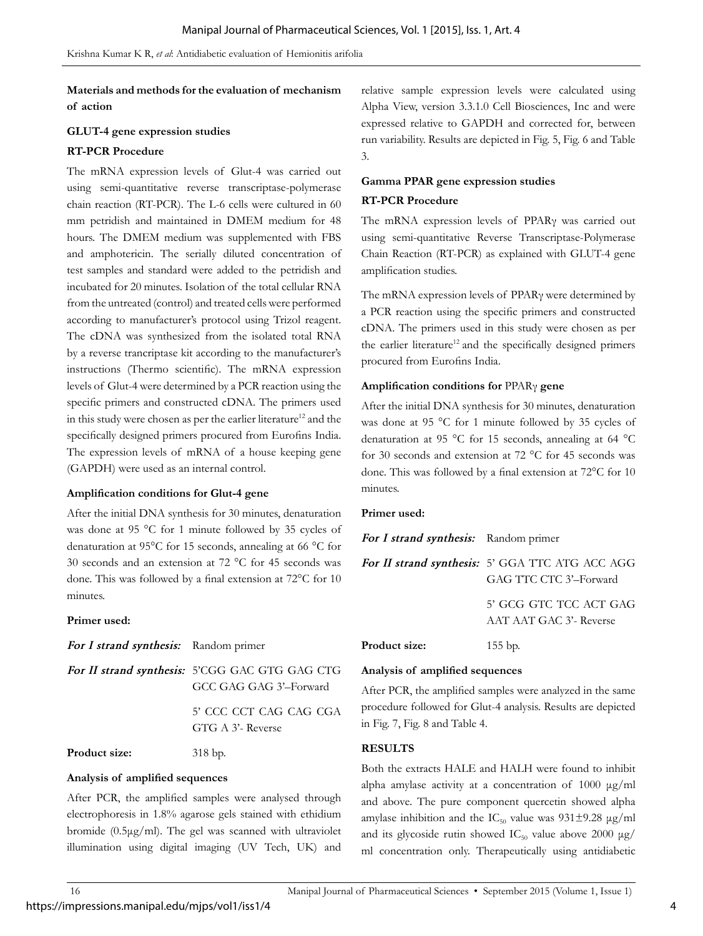**Materials and methods for the evaluation of mechanism of action** 

## **GLUT-4 gene expression studies**

## **RT-PCR Procedure**

The mRNA expression levels of Glut-4 was carried out using semi-quantitative reverse transcriptase-polymerase chain reaction (RT-PCR). The L-6 cells were cultured in 60 mm petridish and maintained in DMEM medium for 48 hours. The DMEM medium was supplemented with FBS and amphotericin. The serially diluted concentration of test samples and standard were added to the petridish and incubated for 20 minutes. Isolation of the total cellular RNA from the untreated (control) and treated cells were performed according to manufacturer's protocol using Trizol reagent. The cDNA was synthesized from the isolated total RNA by a reverse trancriptase kit according to the manufacturer's instructions (Thermo scientific). The mRNA expression levels of Glut-4 were determined by a PCR reaction using the specific primers and constructed cDNA. The primers used in this study were chosen as per the earlier literature<sup>12</sup> and the specifically designed primers procured from Eurofins India. The expression levels of mRNA of a house keeping gene (GAPDH) were used as an internal control.

## **Amplification conditions for Glut-4 gene**

After the initial DNA synthesis for 30 minutes, denaturation was done at 95 °C for 1 minute followed by 35 cycles of denaturation at 95°C for 15 seconds, annealing at 66 °C for 30 seconds and an extension at 72 °C for 45 seconds was done. This was followed by a final extension at 72°C for 10 minutes.

## **Primer used:**

| For I strand synthesis: Random primer |  |  |
|---------------------------------------|--|--|
|---------------------------------------|--|--|

*For II strand synthesis:* 5'CGG GAC GTG GAG CTG GCC GAG GAG 3'–Forward 5' CCC CCT CAG CAG CGA

GTG A 3'- Reverse

Product size: 318 bp.

## **Analysis of amplified sequences**

After PCR, the amplified samples were analysed through electrophoresis in 1.8% agarose gels stained with ethidium bromide (0.5μg/ml). The gel was scanned with ultraviolet illumination using digital imaging (UV Tech, UK) and relative sample expression levels were calculated using Alpha View, version 3.3.1.0 Cell Biosciences, Inc and were expressed relative to GAPDH and corrected for, between run variability. Results are depicted in Fig. 5, Fig. 6 and Table 3.

## **Gamma PPAR gene expression studies**

## **RT-PCR Procedure**

The mRNA expression levels of PPARγ was carried out using semi-quantitative Reverse Transcriptase-Polymerase Chain Reaction (RT-PCR) as explained with GLUT-4 gene amplification studies.

The mRNA expression levels of PPARγ were determined by a PCR reaction using the specific primers and constructed cDNA. The primers used in this study were chosen as per the earlier literature<sup>12</sup> and the specifically designed primers procured from Eurofins India.

## **Amplification conditions for** PPARγ **gene**

After the initial DNA synthesis for 30 minutes, denaturation was done at 95 °C for 1 minute followed by 35 cycles of denaturation at 95 °C for 15 seconds, annealing at 64 °C for 30 seconds and extension at 72 °C for 45 seconds was done. This was followed by a final extension at 72°C for 10 minutes.

## **Primer used:**

| For I strand synthesis: Random primer |                                                                                  |
|---------------------------------------|----------------------------------------------------------------------------------|
|                                       | <b>For II strand synthesis:</b> 5' GGA TTC ATG ACC AGG<br>GAG TTC CTC 3'-Forward |
|                                       | 5' GCG GTC TCC ACT GAG<br>AAT AAT GAC 3'- Reverse                                |
| <b>Product size:</b>                  | $155$ bp.                                                                        |

## **Analysis of amplified sequences**

After PCR, the amplified samples were analyzed in the same procedure followed for Glut-4 analysis. Results are depicted in Fig. 7, Fig. 8 and Table 4.

## **RESULTS**

Both the extracts HALE and HALH were found to inhibit alpha amylase activity at a concentration of 1000 μg/ml and above. The pure component quercetin showed alpha amylase inhibition and the IC<sub>50</sub> value was  $931\pm9.28$  µg/ml and its glycoside rutin showed  $IC_{50}$  value above 2000  $\mu$ g/ ml concentration only. Therapeutically using antidiabetic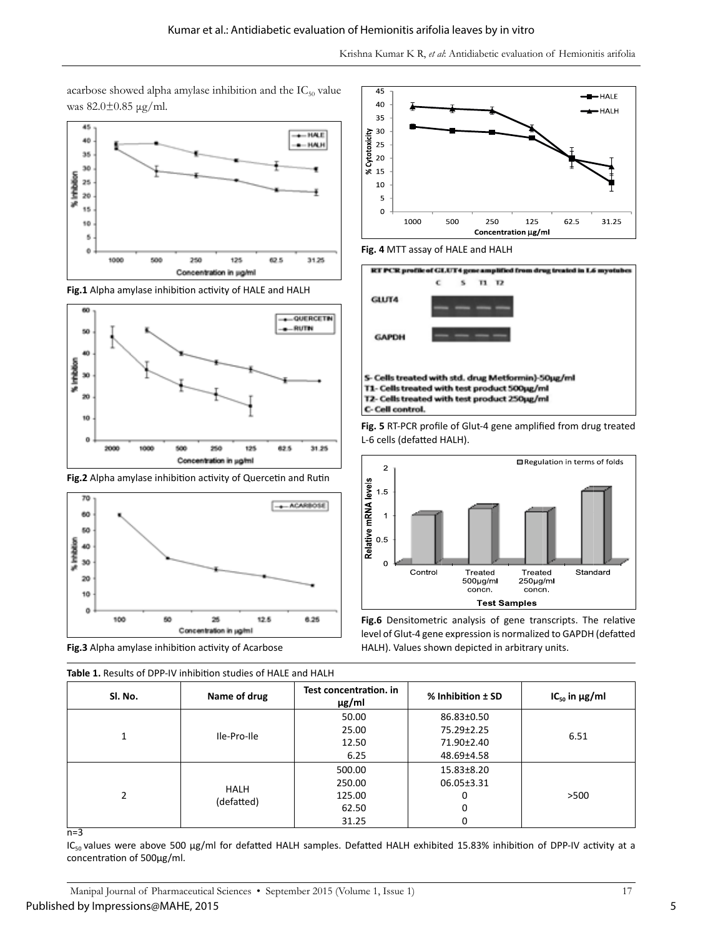acarbose showed alpha amylase inhibition and the  $IC_{50}$  value was 82.0±0.85 μg/ml.







**Fig.2** Alpha amylase inhibition activity of Quercetin and Rutin



**Fig.3** Alpha amylase inhibition activity of Acarbose

**Table 1.** Results of DPP-IV inhibition studies of HALE and HALH



**Fig. 4** MTT assay of HALE and HALH



**Fig. 5** RT-PCR profile of Glut-4 gene amplified from drug treated L-6 cells (defatted HALH).



**Fig.6** Densitometric analysis of gene transcripts. The relative level of Glut-4 gene expression is normalized to GAPDH (defatted HALH). Values shown depicted in arbitrary units.

|   | <b>Table 1.</b> Results Of DEF-IV IIIIIDILIOII SLUUIES OF FIALL AIIU FIALIT |              |                                      |                   |                         |
|---|-----------------------------------------------------------------------------|--------------|--------------------------------------|-------------------|-------------------------|
|   | SI. No.                                                                     | Name of drug | Test concentration, in<br>$\mu$ g/ml | % Inhibition ± SD | $IC_{50}$ in $\mu g/ml$ |
|   |                                                                             |              | 50.00                                | 86.83±0.50        |                         |
|   | Ile-Pro-Ile                                                                 | 25.00        | 75.29±2.25                           | 6.51              |                         |
|   |                                                                             | 12.50        | 71.90±2.40                           |                   |                         |
|   |                                                                             |              | 6.25                                 | 48.69±4.58        |                         |
| 2 |                                                                             |              | 500.00                               | $15.83 \pm 8.20$  |                         |
|   | <b>HALH</b><br>(defatted)                                                   | 250.00       | 06.05±3.31                           |                   |                         |
|   |                                                                             | 125.00       | 0                                    | >500              |                         |
|   |                                                                             | 62.50        | 0                                    |                   |                         |
|   |                                                                             | 31.25        | 0                                    |                   |                         |

 $n=3$ 

IC<sub>50</sub> values were above 500 μg/ml for defatted HALH samples. Defatted HALH exhibited 15.83% inhibition of DPP-IV activity at a concentration of 500μg/ml.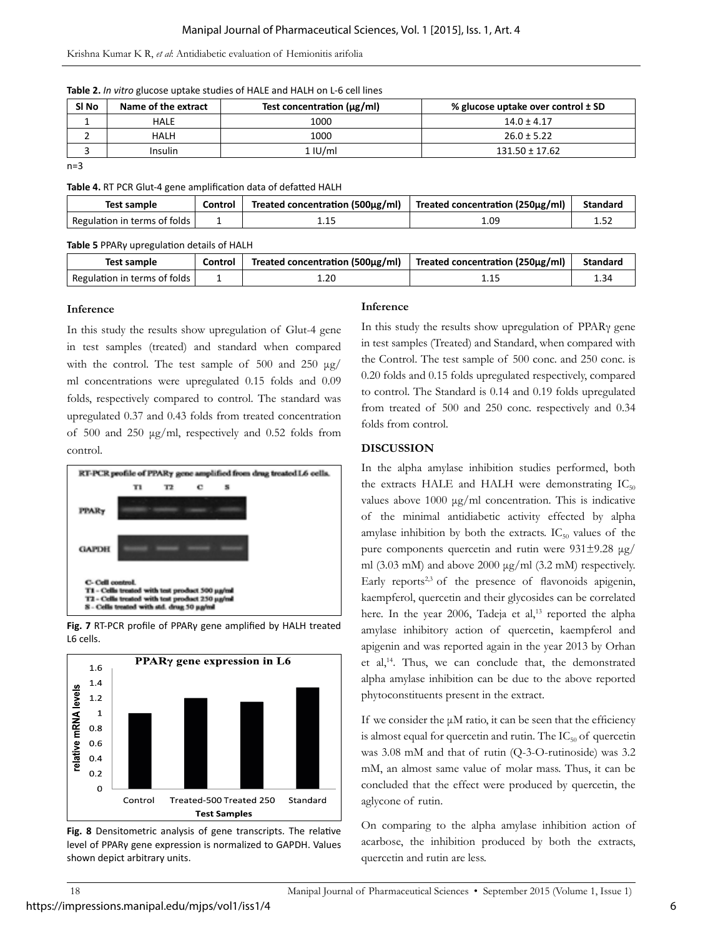## Krishna Kumar K R, *et al*: Antidiabetic evaluation of Hemionitis arifolia

|  | Table 2. In vitro glucose uptake studies of HALE and HALH on L-6 cell lines |  |
|--|-----------------------------------------------------------------------------|--|
|--|-----------------------------------------------------------------------------|--|

| SI <sub>No</sub> | Name of the extract | Test concentration $(\mu g/ml)$ | % glucose uptake over control ± SD |
|------------------|---------------------|---------------------------------|------------------------------------|
|                  | HALE                | 1000                            | $14.0 \pm 4.17$                    |
|                  | HALH                | 1000                            | $26.0 \pm 5.22$                    |
|                  | Insulin             | 1 IU/ml                         | $131.50 \pm 17.62$                 |

 $n=3$ 

**Table 4.** RT PCR Glut-4 gene amplification data of defatted HALH

| Test sample                  | Control | Treated concentration (500 $\mu$ g/ml) | Treated concentration (250 $\mu$ g/ml) | <b>Standard</b> |
|------------------------------|---------|----------------------------------------|----------------------------------------|-----------------|
| Regulation in terms of folds |         |                                        | 1.09                                   |                 |

**Table 5** PPARγ upregulation details of HALH

| Test sample                  | Control | Treated concentration (500μg/ml) | Treated concentration (250 $\mu$ g/ml) | Standard |
|------------------------------|---------|----------------------------------|----------------------------------------|----------|
| Regulation in terms of folds |         | 1.20                             | ⊥.⊥J                                   |          |

## **Inference**

In this study the results show upregulation of Glut-4 gene in test samples (treated) and standard when compared with the control. The test sample of 500 and 250  $\mu$ g/ ml concentrations were upregulated 0.15 folds and 0.09 folds, respectively compared to control. The standard was upregulated 0.37 and 0.43 folds from treated concentration of 500 and 250 μg/ml, respectively and 0.52 folds from control.



**Fig. 7** RT-PCR profile of PPARγ gene amplified by HALH treated L6 cells.



**Fig. 8** Densitometric analysis of gene transcripts. The relative level of PPARγ gene expression is normalized to GAPDH. Values shown depict arbitrary units.

## **Inference**

In this study the results show upregulation of PPARγ gene in test samples (Treated) and Standard, when compared with the Control. The test sample of 500 conc. and 250 conc. is 0.20 folds and 0.15 folds upregulated respectively, compared to control. The Standard is 0.14 and 0.19 folds upregulated from treated of 500 and 250 conc. respectively and 0.34 folds from control.

## **DISCUSSION**

In the alpha amylase inhibition studies performed, both the extracts HALE and HALH were demonstrating  $IC_{50}$ values above  $1000 \mu g/ml$  concentration. This is indicative of the minimal antidiabetic activity effected by alpha amylase inhibition by both the extracts.  $IC_{50}$  values of the pure components quercetin and rutin were 931±9.28 μg/ ml (3.03 mM) and above 2000 μg/ml (3.2 mM) respectively. Early reports<sup>2,3</sup> of the presence of flavonoids apigenin, kaempferol, quercetin and their glycosides can be correlated here. In the year 2006, Tadeja et al,<sup>13</sup> reported the alpha amylase inhibitory action of quercetin, kaempferol and apigenin and was reported again in the year 2013 by Orhan et al,14. Thus, we can conclude that, the demonstrated alpha amylase inhibition can be due to the above reported phytoconstituents present in the extract.

If we consider the  $\mu$ M ratio, it can be seen that the efficiency is almost equal for quercetin and rutin. The  $IC_{50}$  of quercetin was 3.08 mM and that of rutin (Q-3-O-rutinoside) was 3.2 mM, an almost same value of molar mass. Thus, it can be concluded that the effect were produced by quercetin, the aglycone of rutin.

On comparing to the alpha amylase inhibition action of acarbose, the inhibition produced by both the extracts, quercetin and rutin are less.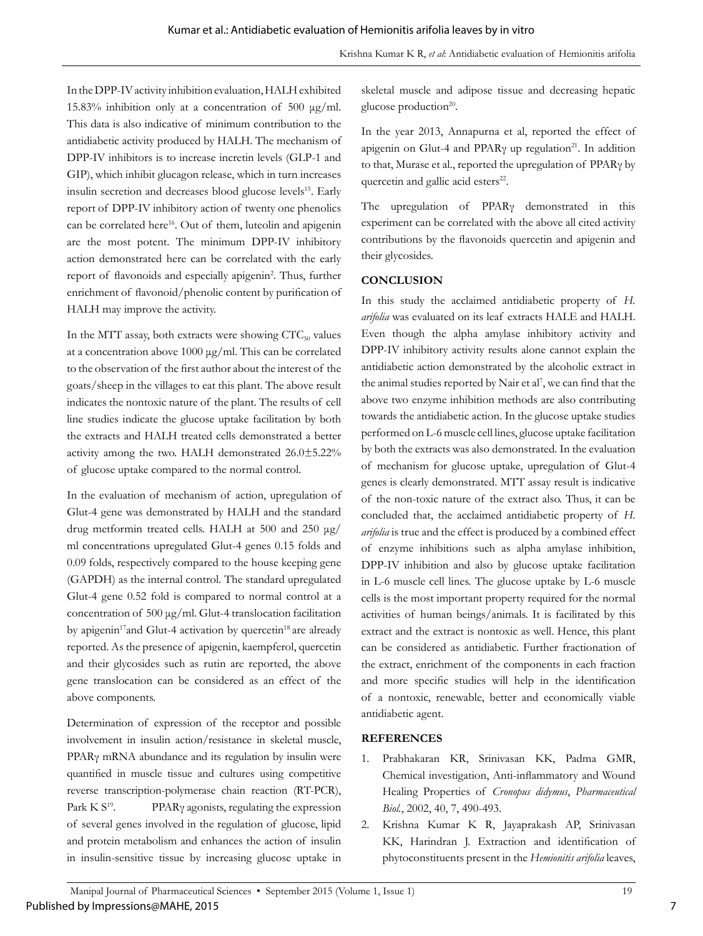In the DPP-IV activity inhibition evaluation, HALH exhibited 15.83% inhibition only at a concentration of 500 μg/ml. This data is also indicative of minimum contribution to the antidiabetic activity produced by HALH. The mechanism of DPP-IV inhibitors is to increase incretin levels (GLP-1 and GIP), which inhibit glucagon release, which in turn increases insulin secretion and decreases blood glucose levels<sup>15</sup>. Early report of DPP-IV inhibitory action of twenty one phenolics can be correlated here<sup>16</sup>. Out of them, luteolin and apigenin are the most potent. The minimum DPP-IV inhibitory action demonstrated here can be correlated with the early report of flavonoids and especially apigenin<sup>2</sup>. Thus, further enrichment of flavonoid/phenolic content by purification of HALH may improve the activity.

In the MTT assay, both extracts were showing  $CTC_{50}$  values at a concentration above 1000 μg/ml. This can be correlated to the observation of the first author about the interest of the goats/sheep in the villages to eat this plant. The above result indicates the nontoxic nature of the plant. The results of cell line studies indicate the glucose uptake facilitation by both the extracts and HALH treated cells demonstrated a better activity among the two. HALH demonstrated 26.0±5.22% of glucose uptake compared to the normal control.

In the evaluation of mechanism of action, upregulation of Glut-4 gene was demonstrated by HALH and the standard drug metformin treated cells. HALH at 500 and 250 μg/ ml concentrations upregulated Glut-4 genes 0.15 folds and 0.09 folds, respectively compared to the house keeping gene (GAPDH) as the internal control. The standard upregulated Glut-4 gene 0.52 fold is compared to normal control at a concentration of 500 μg/ml. Glut-4 translocation facilitation by apigenin<sup>17</sup>and Glut-4 activation by quercetin<sup>18</sup> are already reported. As the presence of apigenin, kaempferol, quercetin and their glycosides such as rutin are reported, the above gene translocation can be considered as an effect of the above components.

Determination of expression of the receptor and possible involvement in insulin action/resistance in skeletal muscle, PPARγ mRNA abundance and its regulation by insulin were quantified in muscle tissue and cultures using competitive reverse transcription-polymerase chain reaction (RT-PCR), Park  $K S^{19}$ . PPAR<sub>Y</sub> agonists, regulating the expression of several genes involved in the regulation of glucose, lipid and protein metabolism and enhances the action of insulin in insulin-sensitive tissue by increasing glucose uptake in

skeletal muscle and adipose tissue and decreasing hepatic glucose production<sup>20</sup>.

In the year 2013, Annapurna et al, reported the effect of apigenin on Glut-4 and PPAR<sub>Y</sub> up regulation<sup>21</sup>. In addition to that, Murase et al., reported the upregulation of PPARγ by quercetin and gallic acid esters<sup>22</sup>.

The upregulation of PPARγ demonstrated in this experiment can be correlated with the above all cited activity contributions by the flavonoids quercetin and apigenin and their glycosides.

## **CONCLUSION**

In this study the acclaimed antidiabetic property of *H. arifolia* was evaluated on its leaf extracts HALE and HALH. Even though the alpha amylase inhibitory activity and DPP-IV inhibitory activity results alone cannot explain the antidiabetic action demonstrated by the alcoholic extract in the animal studies reported by Nair et al<sup>7</sup>, we can find that the above two enzyme inhibition methods are also contributing towards the antidiabetic action. In the glucose uptake studies performed on L-6 muscle cell lines, glucose uptake facilitation by both the extracts was also demonstrated. In the evaluation of mechanism for glucose uptake, upregulation of Glut-4 genes is clearly demonstrated. MTT assay result is indicative of the non-toxic nature of the extract also. Thus, it can be concluded that, the acclaimed antidiabetic property of *H. arifolia* is true and the effect is produced by a combined effect of enzyme inhibitions such as alpha amylase inhibition, DPP-IV inhibition and also by glucose uptake facilitation in L-6 muscle cell lines. The glucose uptake by L-6 muscle cells is the most important property required for the normal activities of human beings/animals. It is facilitated by this extract and the extract is nontoxic as well. Hence, this plant can be considered as antidiabetic. Further fractionation of the extract, enrichment of the components in each fraction and more specific studies will help in the identification of a nontoxic, renewable, better and economically viable antidiabetic agent.

## **REFERENCES**

- 1. Prabhakaran KR, Srinivasan KK, Padma GMR, Chemical investigation, Anti-inflammatory and Wound Healing Properties of *Cronopus didymus*, *Pharmaceutical Biol.*, 2002, 40, 7, 490-493.
- 2. Krishna Kumar K R, Jayaprakash AP, Srinivasan KK, Harindran J. Extraction and identification of phytoconstituents present in the *Hemionitis arifolia* leaves,

7